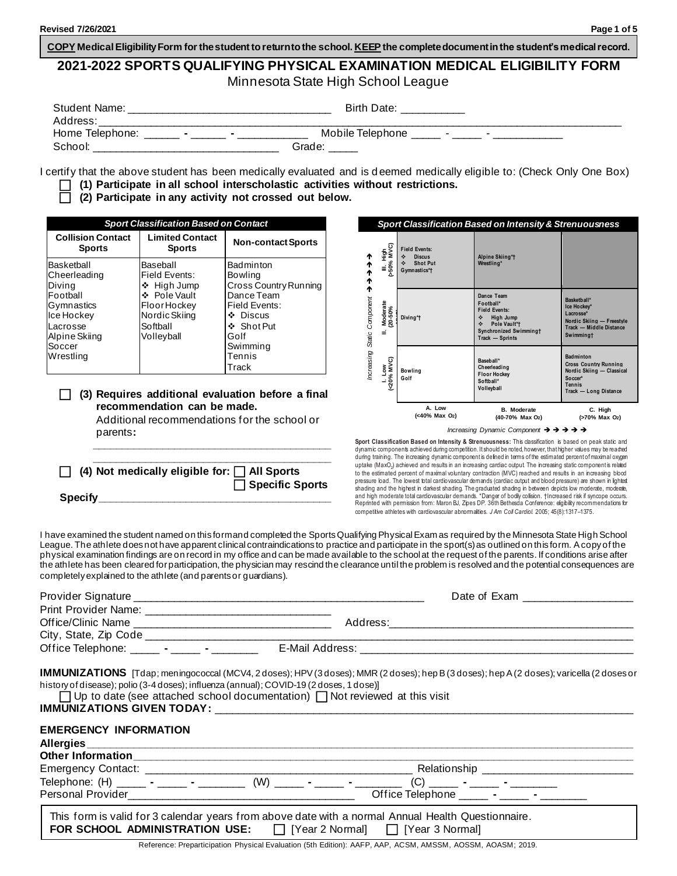**COPY Medical EligibilityForm for the student to return to the school. KEEP the complete documentin the student's medical record.**

# **2021-2022 SPORTS QUALIFYING PHYSICAL EXAMINATION MEDICAL ELIGIBILITY FORM** Minnesota State High School League

| Student Name:                     | Birth Date:                                                              |
|-----------------------------------|--------------------------------------------------------------------------|
| Address:                          |                                                                          |
| Home Telephone:<br>$\blacksquare$ | Mobile Telephone<br>$\sim$<br>$\blacksquare$<br>$\overline{\phantom{0}}$ |
| School:                           | Grade:                                                                   |

I certify that the above student has been medically evaluated and is d eemed medically eligible to: (Check Only One Box)

- **(1) Participate in all school interscholastic activities without restrictions.**
- **(2) Participate in any activity not crossed out below.**

| <b>Sport Classification Based on Contact</b>                                                                                     |                                                                                                                    |                                                                                                                                           |  |
|----------------------------------------------------------------------------------------------------------------------------------|--------------------------------------------------------------------------------------------------------------------|-------------------------------------------------------------------------------------------------------------------------------------------|--|
| <b>Collision Contact</b><br><b>Sports</b>                                                                                        | <b>Limited Contact</b><br><b>Sports</b>                                                                            | <b>Non-contact Sports</b>                                                                                                                 |  |
| Basketball<br>Cheerleading<br>Diving<br>Football<br>Gymnastics<br>Ice Hockey<br>Lacrosse<br>Alpine Skiing<br>Soccer<br>Wrestling | Baseball<br>Field Events:<br>❖ High Jump<br>❖ Pole Vault<br>FloorHockey<br>Nordic Skiing<br>Softball<br>Volleyball | Badminton<br>Bowling<br>Cross Country Running<br>Dance Team<br>Field Events:<br>$\div$ Discus<br>❖ Shot Put<br>Golf<br>Swimmina<br>Tennis |  |
|                                                                                                                                  |                                                                                                                    | Track                                                                                                                                     |  |

#### **(3) Requires additional evaluation before a final recommendation can be made.**

Additional recommendations for the school or parents**: \_\_\_\_\_\_\_\_\_\_\_\_\_\_\_\_\_\_\_\_\_\_\_\_\_\_\_\_\_\_\_\_\_\_\_\_\_\_\_\_\_**

| $\Box$ (4) Not medically eligible for: $\Box$ All Sports |                        |
|----------------------------------------------------------|------------------------|
|                                                          | $\Box$ Specific Sports |
| <b>Specify</b>                                           |                        |



*Increasing Dynamic Component* ➔ ➔ ➔ ➔ ➔

**Sport Classification Based on Intensity & Strenuousness:** This classification is based on peak static and dynamic components achieved during competition. It should be noted, however, that higher values may be reached during training. The increasing dynamic component is defined in terms of the estimated percent of maximal oxygen uptake (MaxO<sub>2</sub>) achieved and results in an increasing cardiac output. The increasing static component is related to the estimated percent of maximal voluntary contraction (MVC) reached and results in an increasing blood pressure load. The lowest total cardiovascular demands (cardiac output and blood pressure) are shown in lightest shading and the highest in darkest shading. The graduated shading in between depicts low moderate, moderale,<br>and high moderate total cardiovascular demands. \*Danger of bodily collision. †Increased risk if syncope occurs. Reprinted with permission from: Maron BJ, Zipes DP. 36th Bethesda Conference: eligibility recommendations for competitive athletes with cardiovascular abnormalities. *J Am Coll Cardiol.* 2005; 45(8):1317–1375.

I have examined the student named on this form and completed the Sports Qualifying Physical Exam as required by the Minnesota State High School League. The athlete does not have apparent clinical contraindications to practice and participate in the sport(s) as outlined on this form. A copy of the physical examination findings are on record in my office and can be made available to the school at the request of the parents. If conditions arise after the athlete has been cleared for participation, the physician may rescind the clearance until the problem is resolved and the potential consequences are completely explained to the athlete (and parents or guardians).

|                                                   |                                                                                                                                                                                                                                                                                                                                                                                                                     | Date of Exam _____________________                                                                                                               |
|---------------------------------------------------|---------------------------------------------------------------------------------------------------------------------------------------------------------------------------------------------------------------------------------------------------------------------------------------------------------------------------------------------------------------------------------------------------------------------|--------------------------------------------------------------------------------------------------------------------------------------------------|
|                                                   |                                                                                                                                                                                                                                                                                                                                                                                                                     |                                                                                                                                                  |
| Office Telephone: ______ - _____ - _______        |                                                                                                                                                                                                                                                                                                                                                                                                                     |                                                                                                                                                  |
| <b>EMERGENCY INFORMATION</b>                      | history of disease); polio (3-4 doses); influenza (annual); COVID-19 (2 doses, 1 dose)]<br>$\Box$ Up to date (see attached school documentation) $\Box$ Not reviewed at this visit<br>IMMUNIZATIONS GIVEN TODAY: Laterature and the contract of the contract of the contract of the contract of the contract of the contract of the contract of the contract of the contract of the contract of the contract of the | <b>IMMUNIZATIONS</b> [Tdap; meningococcal (MCV4, 2 doses); HPV (3 doses); MMR (2 doses); hep B (3 doses); hep A (2 doses); varicella (2 doses or |
|                                                   |                                                                                                                                                                                                                                                                                                                                                                                                                     |                                                                                                                                                  |
|                                                   |                                                                                                                                                                                                                                                                                                                                                                                                                     |                                                                                                                                                  |
| Other Information<br><u>Charles Communication</u> |                                                                                                                                                                                                                                                                                                                                                                                                                     |                                                                                                                                                  |
|                                                   | Telephone: (H) ______ - _____ - ________ (W) _____ - ______ - _______ -                                                                                                                                                                                                                                                                                                                                             |                                                                                                                                                  |

This form is valid for 3 calendar years from above date with a normal Annual Health Questionnaire. **FOR SCHOOL ADMINISTRATION USE:**  $\Box$  [Year 2 Normal]  $\Box$  [Year 3 Normal]

Reference: Preparticipation Physical Evaluation (5th Edition): AAFP, AAP, ACSM, AMSSM, AOSSM, AOASM; 2019.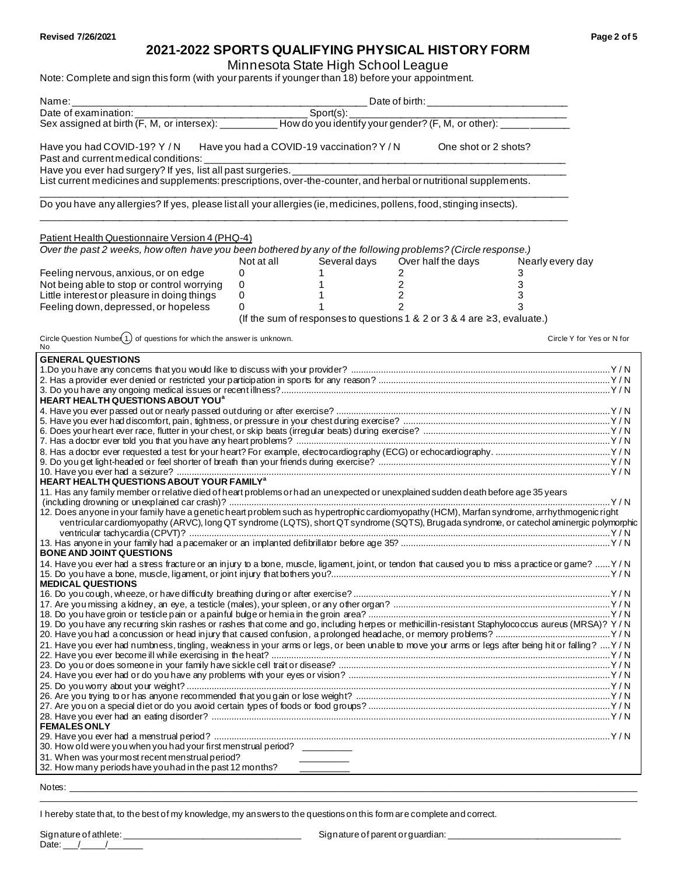# **2021-2022 SPORTS QUALIFYING PHYSICAL HISTORY FORM**

Minnesota State High School League

| Note: Complete and sign this form (with your parents if younger than 18) before your appointment.                                                                                                                                                                                         |                         |              |                    |                                                                                    |                           |
|-------------------------------------------------------------------------------------------------------------------------------------------------------------------------------------------------------------------------------------------------------------------------------------------|-------------------------|--------------|--------------------|------------------------------------------------------------------------------------|---------------------------|
|                                                                                                                                                                                                                                                                                           |                         |              |                    |                                                                                    |                           |
|                                                                                                                                                                                                                                                                                           |                         |              |                    |                                                                                    |                           |
|                                                                                                                                                                                                                                                                                           |                         |              |                    |                                                                                    |                           |
| Have you had COVID-19? Y / N Have you had a COVID-19 vaccination? Y / N<br>One shot or 2 shots?<br>Past and current medical conditions: __________                                                                                                                                        |                         |              |                    |                                                                                    |                           |
| Have you ever had surgery? If yes, list all past surgeries.<br>List current medicines and supplements: prescriptions, over-the-counter, and herbal or nutritional supplements.                                                                                                            |                         |              |                    |                                                                                    |                           |
|                                                                                                                                                                                                                                                                                           |                         |              |                    |                                                                                    |                           |
| Do you have any allergies? If yes, please listall your allergies (ie, medicines, pollens, food, stinging insects).                                                                                                                                                                        |                         |              |                    |                                                                                    |                           |
| Patient Health Questionnaire Version 4 (PHQ-4)                                                                                                                                                                                                                                            |                         |              |                    |                                                                                    |                           |
| Over the past 2 weeks, how often have you been bothered by any of the following problems? (Circle response.)                                                                                                                                                                              | Not at all Several days |              | Over half the days | Nearly every day                                                                   |                           |
| Feeling nervous, anxious, or on edge                                                                                                                                                                                                                                                      | 0                       | 1            | $\overline{2}$     | 3                                                                                  |                           |
| Not being able to stop or control worrying                                                                                                                                                                                                                                                | $\mathbf 0$             | $\mathbf{1}$ | $\overline{c}$     | 3                                                                                  |                           |
| Little interest or pleasure in doing things                                                                                                                                                                                                                                               | 0                       | $1 \quad$    | $\overline{2}$     | 3                                                                                  |                           |
| Feeling down, depressed, or hopeless                                                                                                                                                                                                                                                      | 0                       |              | 2                  | 3<br>(If the sum of responses to questions 1 & 2 or 3 & 4 are $\geq$ 3, evaluate.) |                           |
|                                                                                                                                                                                                                                                                                           |                         |              |                    |                                                                                    |                           |
| Circle Question Numbe $(1)$ of questions for which the answer is unknown.<br>No                                                                                                                                                                                                           |                         |              |                    |                                                                                    | Circle Y for Yes or N for |
| <b>GENERAL QUESTIONS</b>                                                                                                                                                                                                                                                                  |                         |              |                    |                                                                                    |                           |
|                                                                                                                                                                                                                                                                                           |                         |              |                    |                                                                                    |                           |
|                                                                                                                                                                                                                                                                                           |                         |              |                    |                                                                                    |                           |
| HEART HEALTH QUESTIONS ABOUT YOU <sup>a</sup>                                                                                                                                                                                                                                             |                         |              |                    |                                                                                    |                           |
|                                                                                                                                                                                                                                                                                           |                         |              |                    |                                                                                    |                           |
|                                                                                                                                                                                                                                                                                           |                         |              |                    |                                                                                    |                           |
|                                                                                                                                                                                                                                                                                           |                         |              |                    |                                                                                    |                           |
|                                                                                                                                                                                                                                                                                           |                         |              |                    |                                                                                    |                           |
|                                                                                                                                                                                                                                                                                           |                         |              |                    |                                                                                    |                           |
| HEART HEALTH QUESTIONS ABOUT YOUR FAMILY <sup>a</sup><br>11. Has any family member or relative died of heart problems or had an unexpected or unexplained sudden death before age 35 years                                                                                                |                         |              |                    |                                                                                    |                           |
|                                                                                                                                                                                                                                                                                           |                         |              |                    |                                                                                    |                           |
| 12. Does anyone in your family have a genetic heart problem such as hypertrophic cardiomyopathy (HCM), Marfan syndrome, arrhythmogenic right<br>ventricular cardiomyopathy (ARVC), long QT syndrome (LQTS), short QT syndrome (SQTS), Brugada syndrome, or catechol aminergic polymorphic |                         |              |                    |                                                                                    |                           |
|                                                                                                                                                                                                                                                                                           |                         |              |                    |                                                                                    |                           |
| <b>BONE AND JOINT QUESTIONS</b>                                                                                                                                                                                                                                                           |                         |              |                    |                                                                                    |                           |
| 14. Have you ever had a stress fracture or an injury to a bone, muscle, ligament, joint, or tendon that caused you to miss a practice or game?  Y / N<br><b>MEDICAL QUESTIONS</b>                                                                                                         |                         |              |                    |                                                                                    |                           |
|                                                                                                                                                                                                                                                                                           |                         |              |                    |                                                                                    |                           |
|                                                                                                                                                                                                                                                                                           |                         |              |                    |                                                                                    |                           |
| 19. Do you have any recurring skin rashes or rashes that come and go, including herpes or methicillin-resistant Staphylococcus aureus (MRSA)? Y/N                                                                                                                                         |                         |              |                    |                                                                                    |                           |
| 21. Have you ever had numbness, tingling, weakness in your arms or legs, or been unable to move your arms or legs after being hit or falling?  Y/N                                                                                                                                        |                         |              |                    |                                                                                    |                           |
|                                                                                                                                                                                                                                                                                           |                         |              |                    |                                                                                    |                           |
|                                                                                                                                                                                                                                                                                           |                         |              |                    |                                                                                    |                           |
|                                                                                                                                                                                                                                                                                           |                         |              |                    |                                                                                    |                           |
|                                                                                                                                                                                                                                                                                           |                         |              |                    |                                                                                    |                           |
|                                                                                                                                                                                                                                                                                           |                         |              |                    |                                                                                    |                           |
| <b>FEMALES ONLY</b>                                                                                                                                                                                                                                                                       |                         |              |                    |                                                                                    |                           |
|                                                                                                                                                                                                                                                                                           |                         |              |                    |                                                                                    |                           |
| 30. How old were you when you had your first menstrual period? _________                                                                                                                                                                                                                  |                         |              |                    |                                                                                    |                           |
| 31. When was your most recent menstrual period?<br>32. How many periods have you had in the past 12 months?                                                                                                                                                                               |                         |              |                    |                                                                                    |                           |

Notes: \_\_\_\_\_\_\_\_\_\_\_\_\_\_\_\_\_\_\_\_\_\_\_\_\_\_\_\_\_\_\_\_\_\_\_\_\_\_\_\_\_\_\_\_\_\_\_\_\_\_\_\_\_\_\_\_\_\_\_\_\_\_\_\_\_\_\_\_\_\_\_\_\_\_\_\_\_\_\_\_\_\_\_\_\_\_\_\_\_\_\_\_\_\_\_\_\_\_\_\_\_\_\_\_\_\_\_\_\_\_\_\_\_\_

I hereby state that, to the best of my knowledge, my answers to the questions on this form are complete and correct.

 $\_$  , and the set of the set of the set of the set of the set of the set of the set of the set of the set of the set of the set of the set of the set of the set of the set of the set of the set of the set of the set of th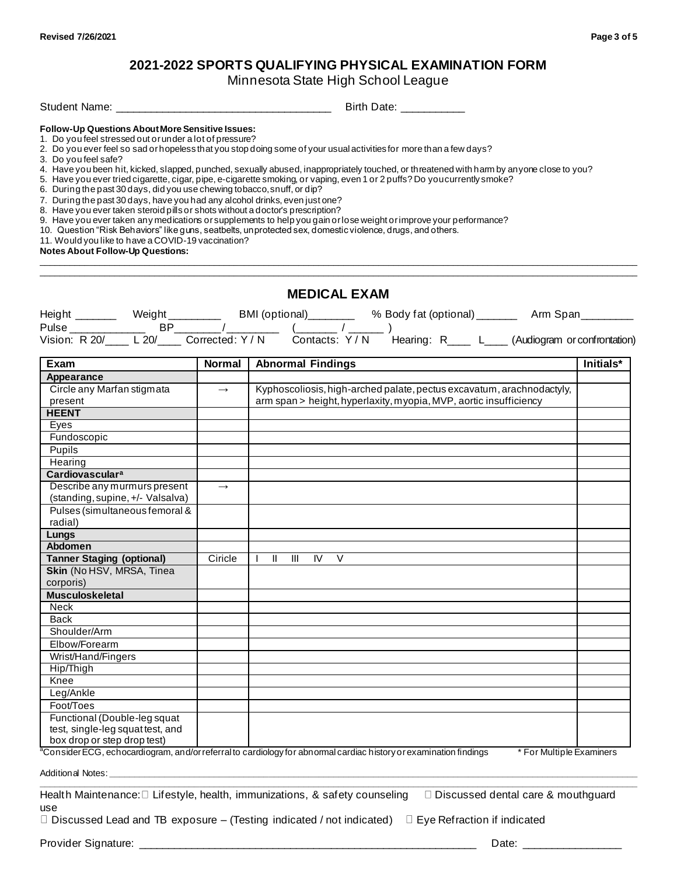# **2021-2022 SPORTS QUALIFYING PHYSICAL EXAMINATION FORM**

Minnesota State High School League

 $\_$  , and the set of the set of the set of the set of the set of the set of the set of the set of the set of the set of the set of the set of the set of the set of the set of the set of the set of the set of the set of th  $\_$  , and the set of the set of the set of the set of the set of the set of the set of the set of the set of the set of the set of the set of the set of the set of the set of the set of the set of the set of the set of th

Student Name: \_\_\_\_\_\_\_\_\_\_\_\_\_\_\_\_\_\_\_\_\_\_\_\_\_\_\_\_\_\_\_\_\_\_\_\_\_ Birth Date: \_\_\_\_\_\_\_\_\_\_\_

## **Follow-Up Questions About More Sensitive Issues:**

- 1. Do you feel stressed out or under a lot of pressure?
- 2. Do you ever feel so sad or hopeless that you stop doing some of your usual activities for more than a few days?
- 3. Do you feel safe?
- 4. Have you been hit, kicked, slapped, punched, sexually abused, inappropriately touched, or threatened with harm by anyone close to you?
- 5. Have you ever tried cigarette, cigar, pipe, e-cigarette smoking, or vaping, even 1 or 2 puffs? Do you currently smoke?
- 6. During the past 30 days, did you use chewing tobacco, snuff, or dip?
- 7. During the past 30 days, have you had any alcohol drinks, even just one?
- 8. Have you ever taken steroid pills or shots without a doctor's prescription?
- 9. Have you ever taken any medications or supplements to help you gain or lose weight or improve your performance?
- 10. Question "Risk Behaviors" like guns, seatbelts, unprotected sex, domestic violence, drugs, and others.
- 11. Would you like to have a COVID-19 vaccination?

**Notes About Follow-Up Questions:**

|                                   |               | <b>MEDICAL EXAM</b>                                                                                                                                   |           |
|-----------------------------------|---------------|-------------------------------------------------------------------------------------------------------------------------------------------------------|-----------|
|                                   |               | Height Weight BMI (optional) % Body fat (optional) Arm Span<br>Pulse BP / Corrected: Y/N Contacts: Y/N Hearing: R L (Audiogram or confrontation)      |           |
|                                   |               |                                                                                                                                                       |           |
| Exam                              | <b>Normal</b> | <b>Abnormal Findings</b>                                                                                                                              | Initials* |
| Appearance                        |               |                                                                                                                                                       |           |
| Circle any Marfan stigmata        | $\rightarrow$ | Kyphoscoliosis, high-arched palate, pectus excavatum, arachnodactyly,                                                                                 |           |
| present                           |               | arm span > height, hyperlaxity, myopia, MVP, aortic insufficiency                                                                                     |           |
| <b>HEENT</b>                      |               |                                                                                                                                                       |           |
| Eyes                              |               |                                                                                                                                                       |           |
| Fundoscopic                       |               |                                                                                                                                                       |           |
| Pupils                            |               |                                                                                                                                                       |           |
| Hearing                           |               |                                                                                                                                                       |           |
| <b>Cardiovascular<sup>a</sup></b> |               |                                                                                                                                                       |           |
| Describe any murmurs present      | $\rightarrow$ |                                                                                                                                                       |           |
| (standing, supine, +/- Valsalva)  |               |                                                                                                                                                       |           |
| Pulses (simultaneous femoral &    |               |                                                                                                                                                       |           |
| radial)                           |               |                                                                                                                                                       |           |
| Lungs                             |               |                                                                                                                                                       |           |
| <b>Abdomen</b>                    |               |                                                                                                                                                       |           |
| <b>Tanner Staging (optional)</b>  | Ciricle       | $II$ $III$ IV V<br>$\mathbf{I}$                                                                                                                       |           |
| Skin (No HSV, MRSA, Tinea         |               |                                                                                                                                                       |           |
| corporis)                         |               |                                                                                                                                                       |           |
| <b>Musculoskeletal</b>            |               |                                                                                                                                                       |           |
| <b>Neck</b>                       |               |                                                                                                                                                       |           |
| Back                              |               |                                                                                                                                                       |           |
| Shoulder/Arm                      |               |                                                                                                                                                       |           |
| Elbow/Forearm                     |               |                                                                                                                                                       |           |
| Wrist/Hand/Fingers                |               |                                                                                                                                                       |           |
| Hip/Thigh                         |               |                                                                                                                                                       |           |
| Knee                              |               |                                                                                                                                                       |           |
| Leg/Ankle                         |               |                                                                                                                                                       |           |
| Foot/Toes                         |               |                                                                                                                                                       |           |
| Functional (Double-leg squat      |               |                                                                                                                                                       |           |
| test, single-leg squattest, and   |               |                                                                                                                                                       |           |
| box drop or step drop test)       |               | $\frac{3}{2}$ Consider ECC, sobservations and/er seterate settled and exploration between the symmetries findings<br>$*F_{\alpha}$ Multiple Exeminate |           |

<sup>a</sup>Consider ECG, echocardiogram, and/or referral to cardiology for abnormal cardiac history or examination findings \* For Multiple Examiners

Additional Notes: **\_\_\_\_\_\_\_\_\_\_\_\_\_\_\_\_\_\_\_\_\_\_\_\_\_\_\_\_\_\_\_\_\_\_\_\_\_\_\_\_\_\_\_\_\_\_\_\_\_\_\_\_\_\_\_\_\_\_\_\_\_\_\_\_\_\_\_\_\_\_\_\_\_\_\_\_\_\_\_\_\_\_\_\_\_\_\_\_\_\_\_\_\_\_\_\_\_\_\_\_\_\_\_\_\_\_**

Health Maintenance: Lifestyle, health, immunizations, & safety counseling Discussed dental care & mouthguard use

**\_\_\_\_\_\_\_\_\_\_\_\_\_\_\_\_\_\_\_\_\_\_\_\_\_\_\_\_\_\_\_\_\_\_\_\_\_\_\_\_\_\_\_\_\_\_\_\_\_\_\_\_\_\_\_\_\_\_\_\_\_\_\_\_\_\_\_\_\_\_\_\_\_\_\_\_\_\_\_\_\_\_\_\_\_\_\_\_\_\_\_\_\_\_\_\_\_\_\_\_\_\_\_\_\_\_\_\_\_\_\_\_\_\_\_\_\_\_\_\_**

 $\Box$  Discussed Lead and TB exposure – (Testing indicated / not indicated)  $\Box$  Eye Refraction if indicated

Provider Signature: \_\_\_\_\_\_\_\_\_\_\_\_\_\_\_\_\_\_\_\_\_\_\_\_\_\_\_\_\_\_\_\_\_\_\_\_\_\_\_\_\_\_\_\_\_\_\_\_\_\_\_\_\_\_\_\_\_\_ Date: \_\_\_\_\_\_\_\_\_\_\_\_\_\_\_\_\_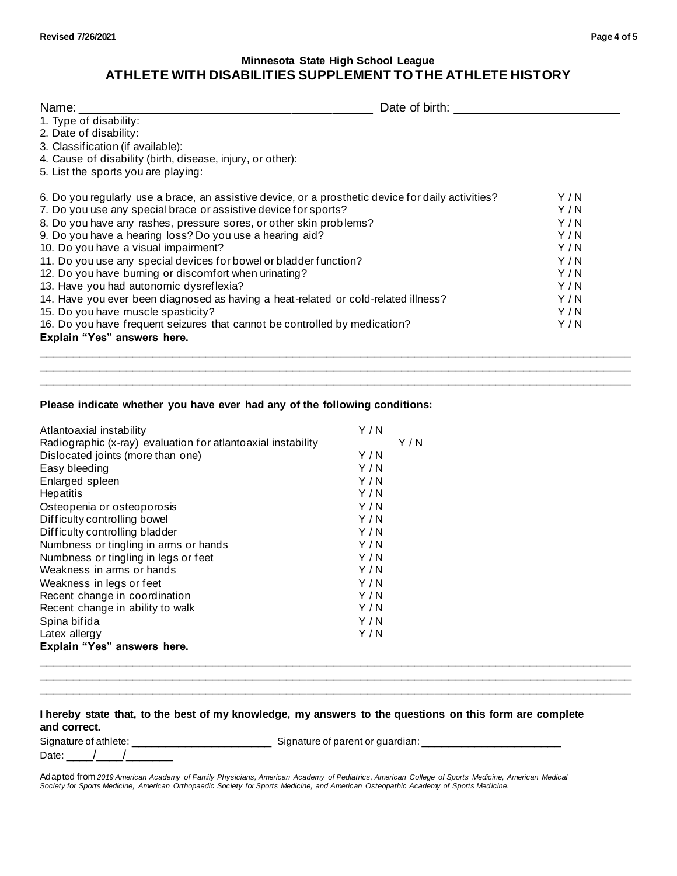# **Minnesota State High School League ATHLETE WITH DISABILITIES SUPPLEMENT TO THE ATHLETE HISTORY**

| Name: ___________                                                                                  | Date of birth: |     |
|----------------------------------------------------------------------------------------------------|----------------|-----|
| 1. Type of disability:                                                                             |                |     |
| 2. Date of disability:                                                                             |                |     |
| 3. Classification (if available):                                                                  |                |     |
| 4. Cause of disability (birth, disease, injury, or other):                                         |                |     |
| 5. List the sports you are playing:                                                                |                |     |
| 6. Do you regularly use a brace, an assistive device, or a prosthetic device for daily activities? |                | Y/N |
| 7. Do you use any special brace or assistive device for sports?                                    |                | Y/N |
| 8. Do you have any rashes, pressure sores, or other skin problems?                                 |                | Y/N |
| 9. Do you have a hearing loss? Do you use a hearing aid?                                           |                | Y/N |
| 10. Do you have a visual impairment?                                                               |                | Y/N |
| 11. Do you use any special devices for bowel or bladder function?                                  |                | Y/N |
| 12. Do you have burning or discomfort when urinating?                                              |                | Y/N |
| 13. Have you had autonomic dysreflexia?                                                            |                | Y/N |
| 14. Have you ever been diagnosed as having a heat-related or cold-related illness?                 |                | Y/N |
| 15. Do you have muscle spasticity?                                                                 |                | Y/N |
| 16. Do you have frequent seizures that cannot be controlled by medication?                         |                | Y/N |
| Explain "Yes" answers here.                                                                        |                |     |

\_\_\_\_\_\_\_\_\_\_\_\_\_\_\_\_\_\_\_\_\_\_\_\_\_\_\_\_\_\_\_\_\_\_\_\_\_\_\_\_\_\_\_\_\_\_\_\_\_\_\_\_\_\_\_\_\_\_\_\_\_\_\_\_\_\_\_\_\_\_\_\_\_\_\_\_\_\_\_\_\_\_\_\_\_\_\_\_ \_\_\_\_\_\_\_\_\_\_\_\_\_\_\_\_\_\_\_\_\_\_\_\_\_\_\_\_\_\_\_\_\_\_\_\_\_\_\_\_\_\_\_\_\_\_\_\_\_\_\_\_\_\_\_\_\_\_\_\_\_\_\_\_\_\_\_\_\_\_\_\_\_\_\_\_\_\_\_\_\_\_\_\_\_\_\_\_

#### **Please indicate whether you have ever had any of the following conditions:**

| Atlantoaxial instability                                     | Y/N |     |
|--------------------------------------------------------------|-----|-----|
| Radiographic (x-ray) evaluation for atlantoaxial instability |     | Y/N |
| Dislocated joints (more than one)                            | Y/N |     |
| Easy bleeding                                                | Y/N |     |
| Enlarged spleen                                              | Y/N |     |
| <b>Hepatitis</b>                                             | Y/N |     |
| Osteopenia or osteoporosis                                   | Y/N |     |
| Difficulty controlling bowel                                 | Y/N |     |
| Difficulty controlling bladder                               | Y/N |     |
| Numbness or tingling in arms or hands                        | Y/N |     |
| Numbness or tingling in legs or feet                         | Y/N |     |
| Weakness in arms or hands                                    | Y/N |     |
| Weakness in legs or feet                                     | Y/N |     |
| Recent change in coordination                                | Y/N |     |
| Recent change in ability to walk                             | Y/N |     |
| Spina bifida                                                 | Y/N |     |
| Latex allergy                                                | Y/N |     |
| Explain "Yes" answers here.                                  |     |     |
|                                                              |     |     |

### **I hereby state that, to the best of my knowledge, my answers to the questions on this form are complete and correct.**

Signature of athlete: \_\_\_\_\_\_\_\_\_\_\_\_\_\_\_\_\_\_\_\_\_ Signature of parent or guardian: \_\_\_\_\_\_\_\_\_\_\_\_\_\_\_\_\_\_\_\_\_

Date:  $/$  /

\_\_\_\_\_\_\_\_\_\_\_\_\_\_\_\_\_\_\_\_\_\_\_\_\_\_\_\_\_\_\_\_\_\_\_\_\_\_\_\_\_\_\_\_\_\_\_\_\_\_\_\_\_\_\_\_\_\_\_\_\_\_\_\_\_\_\_\_\_\_\_\_\_\_\_\_\_\_\_\_\_\_\_\_\_\_\_\_ \_\_\_\_\_\_\_\_\_\_\_\_\_\_\_\_\_\_\_\_\_\_\_\_\_\_\_\_\_\_\_\_\_\_\_\_\_\_\_\_\_\_\_\_\_\_\_\_\_\_\_\_\_\_\_\_\_\_\_\_\_\_\_\_\_\_\_\_\_\_\_\_\_\_\_\_\_\_\_\_\_\_\_\_\_\_\_\_

Adapted from *2019 American Academy of Family Physicians, American Academy of Pediatrics, American College of Sports Medicine, American Medical Society for Sports Medicine, American Orthopaedic Society for Sports Medicine, and American Osteopathic Academy of Sports Medicine.*